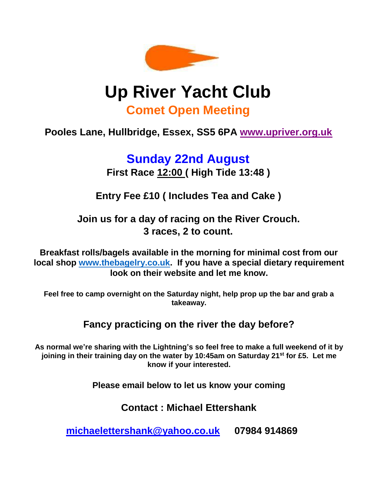

## **Up River Yacht Club Comet Open Meeting**

## **Pooles Lane, Hullbridge, Essex, SS5 6PA [www.upriver.org.uk](http://www.upriver.org.uk/)**

# **Sunday 22nd August**

**First Race 12:00 ( High Tide 13:48 )** 

**Entry Fee £10 ( Includes Tea and Cake )**

**Join us for a day of racing on the River Crouch. 3 races, 2 to count.**

**Breakfast rolls/bagels available in the morning for minimal cost from our local shop [www.thebagelry.co.uk.](http://www.thebagelry.co.uk/) If you have a special dietary requirement look on their website and let me know.**

**Feel free to camp overnight on the Saturday night, help prop up the bar and grab a takeaway.**

### **Fancy practicing on the river the day before?**

**As normal we're sharing with the Lightning's so feel free to make a full weekend of it by joining in their training day on the water by 10:45am on Saturday 21st for £5. Let me know if your interested.**

**Please email below to let us know your coming**

**Contact : Michael Ettershank**

**michaelettershank@yahoo.co.uk 07984 914869**